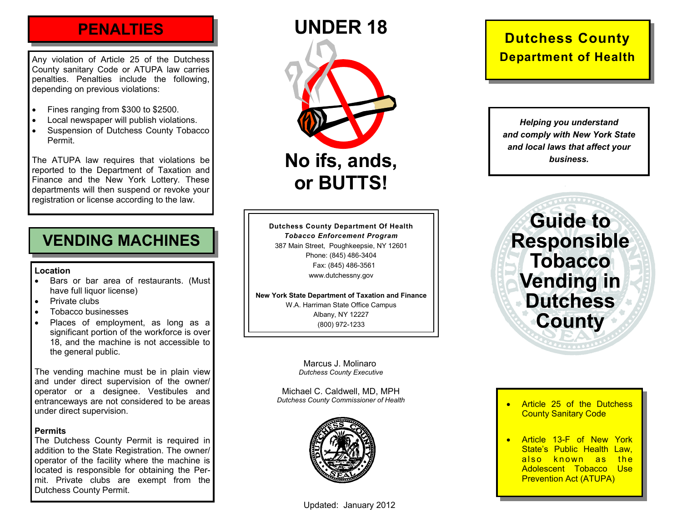# **PENALTIES**

Any violation of Article 25 of the Dutchess County sanitary Code or ATUPA law carries penalties. Penalties include the following, depending on previous violations:

- •Fines ranging from \$300 to \$2500.
- •Local newspaper will publish violations.
- • Suspension of Dutchess County Tobacco Permit.

The ATUPA law requires that violations be reported to the Department of Taxation and Finance and the New York Lottery. These departments will then suspend or revoke your registration or license according to the law.

# **VENDING MACHINES**

#### **Location**

- • Bars or bar area of restaurants. (Must have full liquor license)
- Private clubs
- •Tobacco businesses
- • Places of employment, as long as a significant portion of the workforce is over 18, and the machine is not accessible to the general public.

The vending machine must be in plain view and under direct supervision of the owner/ operator or a designee. Vestibules and entranceways are not considered to be areas under direct supervision.

#### **Permits**

The Dutchess County Permit is required in addition to the State Registration. The owner/ operator of the facility where the machine is located is responsible for obtaining the Permit. Private clubs are exempt from the Dutchess County Permit.

Updated: January 2012

# **Dutchess County Department of Health**

*Helping you understand and comply with New York State and local laws that affect your business.* 

**Guide to Responsible Tobacco Vending in Dutchess County** 

*Dutchess County Executive* 

Michael C. Caldwell, MD, MPH *Dutchess County Commissioner of Health* 

Marcus J. Molinaro

**UNDER 18** 

**No ifs, ands,** 

**or BUTTS!** 

**Dutchess County Department Of Health**  *Tobacco Enforcement Program*  387 Main Street, Poughkeepsie, NY 12601 Phone: (845) 486-3404 Fax: (845) 486-3561 www.dutchessny.gov

**New York State Department of Taxation and Finance**  W.A. Harriman State Office Campus Albany, NY 12227 (800) 972-1233



- •**Article 25 of the Dutchess** County Sanitary Code
- • Article 13-F of New York State's Public Health Law, also known as the Adolescent Tobacco Use Prevention Act (ATUPA)